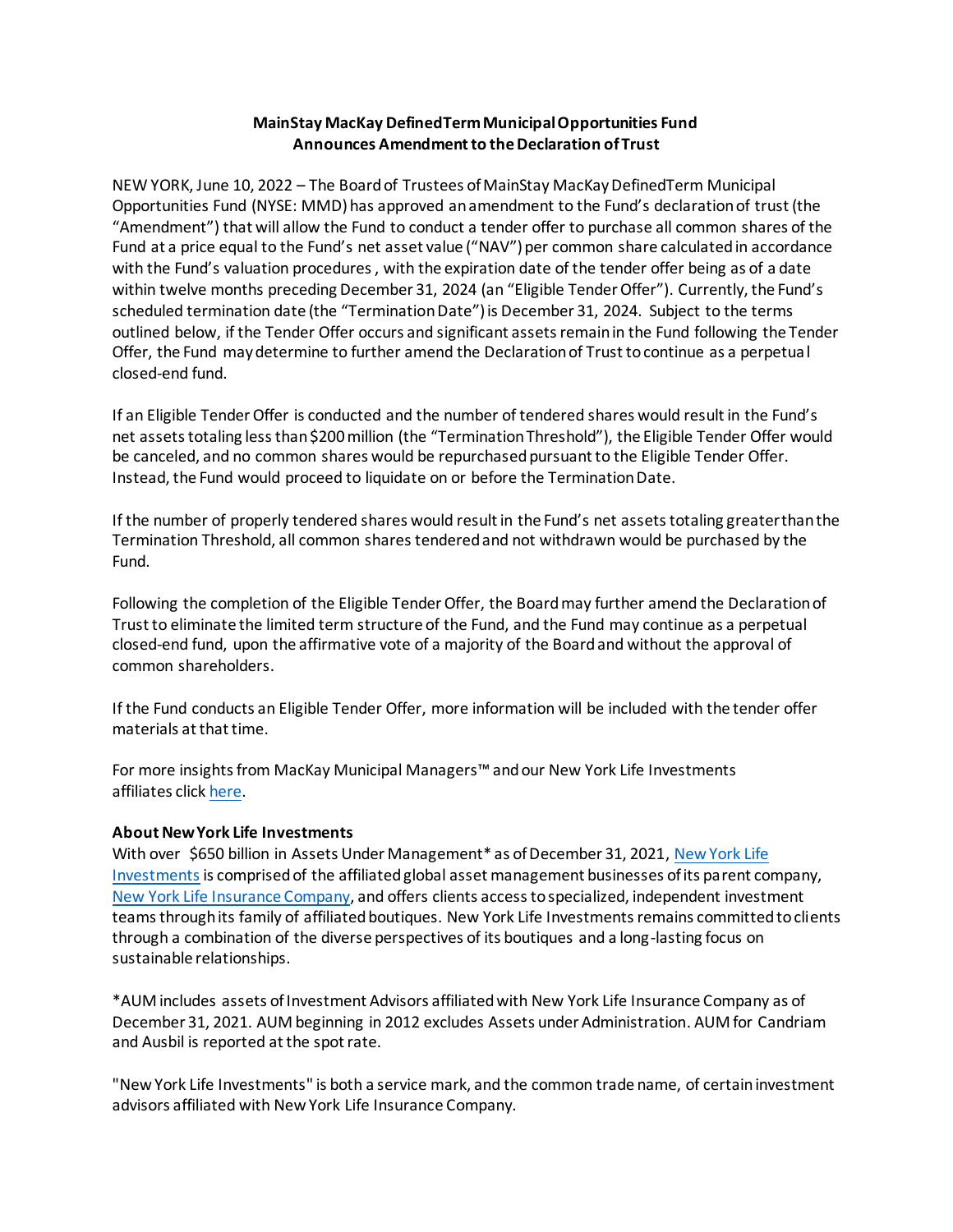## **MainStay MacKay DefinedTerm Municipal Opportunities Fund Announces Amendment to the Declaration of Trust**

NEW YORK, June 10, 2022 – The Board of Trustees of MainStay MacKay DefinedTerm Municipal Opportunities Fund (NYSE: MMD) has approved anamendment to the Fund's declaration of trust (the "Amendment") that will allow the Fund to conduct a tender offer to purchase all common shares of the Fund at a price equal to the Fund's net asset value ("NAV") per common share calculated in accordance with the Fund's valuation procedures , with the expiration date of the tender offer being as of a date within twelve months preceding December 31, 2024 (an "Eligible Tender Offer"). Currently, the Fund's scheduled termination date (the "Termination Date") is December 31, 2024. Subject to the terms outlined below, if the Tender Offer occurs and significant assets remain in the Fund following the Tender Offer, the Fund may determine to further amend the Declaration of Trust to continue as a perpetual closed-end fund.

If an Eligible Tender Offer is conducted and the number of tendered shares would result in the Fund's net assets totaling less than \$200 million (the "Termination Threshold"), the Eligible Tender Offer would be canceled, and no common shares would be repurchased pursuant to the Eligible Tender Offer. Instead, the Fund would proceed to liquidate on or before the Termination Date.

If the number of properly tendered shares would result in the Fund's net assets totaling greater than the Termination Threshold, all common shares tendered and not withdrawn would be purchased by the Fund.

Following the completion of the Eligible Tender Offer, the Board may further amend the Declaration of Trust to eliminate the limited term structure of the Fund, and the Fund may continue as a perpetual closed-end fund, upon the affirmative vote of a majority of the Board and without the approval of common shareholders.

If the Fund conducts an Eligible Tender Offer, more information will be included with the tender offer materials at that time.

For more insights from MacKay Municipal Managers™ and our New York Life Investments affiliates clic[k here.](https://www.newyorklifeinvestments.com/insights)

## **About New York Life Investments**

With over \$650 billion in Assets Under Management\* as of December 31, 2021, New York Life [Investments](https://www.newyorklifeinvestments.com/who-we-are) is comprised of the affiliated global asset management businesses of its parent company, [New York Life Insurance Company,](http://www.newyorklife.com/) and offers clients access to specialized, independent investment teams through its family of affiliated boutiques. New York Life Investments remains committed to clients through a combination of the diverse perspectives of its boutiques and a long-lasting focus on sustainable relationships.

\*AUM includes assets of Investment Advisors affiliated with New York Life Insurance Company as of December 31, 2021. AUM beginning in 2012 excludes Assets under Administration. AUM for Candriam and Ausbil is reported at the spot rate.

"New York Life Investments" is both a service mark, and the common trade name, of certain investment advisors affiliated with New York Life Insurance Company.